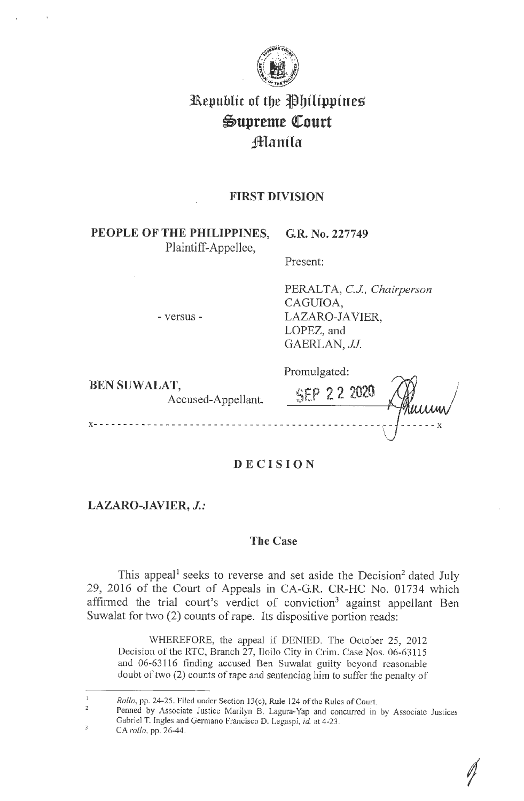

# **3Republic of tbe J)bthpptnes**   $\mathfrak{Supreme}$  Court **Jmanila**

# **FIRST DIVISION**

PEOPLE OF THE PHILIPPINES, G.R. No. 227749 Plaintiff-Appellee,

- versus -

Present:

PERALTA, CJ, *Chairperson*  CAGUIOA, LAZARO-IA VIER, LOPEZ, and GAERLAN, *JJ.* 

**BEN SUWALAT,** 

Accused-Appellant.

Promulgated: **SEP 2 2 2020** 

**DECIS I ON** 

**LAZARO-JAVIER,** *J.:* 

**X -** - - - - - - - - - - - - - - - - - - - - - - - - - - - - - - - - - - - - - - - - - - - - - - - - - - - - - - - **X** 

# **The Case**

This appeal<sup>1</sup> seeks to reverse and set aside the Decision<sup>2</sup> dated July 29, 2016 of the Court of Appeals in CA-GR. CR-HC No. 01734 which affirmed the trial court's verdict of conviction<sup>3</sup> against appellant Ben Suwalat for two (2) counts of rape. Its dispositive portion reads:

WHEREFORE, the appeal if DENIED. The October 25, 2012 Decision of the RTC, Branch 27, Iloilo City in Crim. Case Nos. 06-63115 and 06-63116 finding accused Ben Suwalat guilty beyond reasonable doubt of two (2) counts of rape and sentencing him to suffer the penalty of

 $\overline{1}$ *Rollo,* pp. 24-25. Filed under Section 13(c), Rule 124 of the Rules of Court.

 $\overline{2}$ Penned by Associate Justice Marilyn B. Lagura-Yap and concurred in by Associate Justices Gabriel T. Ingles and Germano Francisco D. Legaspi, *id.* at 4-23.  $\overline{3}$ 

CA *rollo,* pp. 26-44.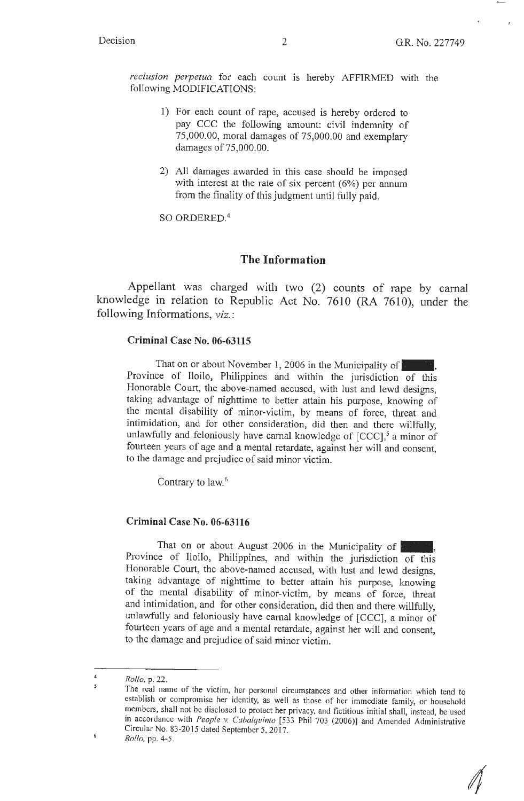$\mathscr{N}$ 

*reclusion perpetua* for each count is hereby AFFIRMED with the following MODIFICATIONS:

- 1) For each count of rape, accused is hereby ordered to pay CCC the following amount: civil indemnity of 75,000.00, moral damages of 75,000.00 and exemplary damages of 75,000.00.
- 2) All damages awarded in this case should be imposed with interest at the rate of six percent (6%) per annum from the finality of this judgment until fully paid.

SO ORDERED.<sup>4</sup>

#### **The Information**

Appellant was charged with two (2) counts of rape by carnal knowledge in relation to Republic Act No. 7610 (RA 7610), under the following Informations, *viz.:* 

#### **Criminal Case No. 06-63115**

That on or about November 1, 2006 **in** the Municipality of\_, Province of Iloilo, Philippines and within the jurisdiction of this Honorable Court, the above-named accused, with lust and lewd designs, taking advantage of nighttime to better attain his purpose, knowing of the mental disability of minor-victim, by means of force, threat and intimidation, and for other consideration, did then and there willfully, unlawfully and feloniously have carnal knowledge of  $[CCC]$ ,<sup>5</sup> a minor of fourteen years of age and a mental retardate, against her will and consent, to the damage and prejudice of said minor victim.

Contrary to law.<sup>6</sup>

#### **Criminal Case No. 06-63116**

That on or about August 2006 in the Municipality of Province of Iloilo, Philippines, and within the jurisdiction of this Honorable Court, the above-named accused, with lust and lewd designs, taking advantage of nighttime to better attain his purpose, knowing of the mental disability of minor-victim, by means of force, threat and intimidation, and for other consideration, did then and there willfully, unlawfully and feloniously have carnal knowledge of [CCC], a minor of fourteen years of age and a mental retardate, against her will and consent, to the damage and prejudice of said minor victim.

 $\boldsymbol{6}$ 

 $\overline{4}$ *Rollo,* p. 22.  $\overline{5}$ 

The real name of the victim, her personal circumstances and other information which tend to establish or compromise her identity, as well as those of her immediate family, or household members, shall not be disclosed to protect her privacy, and fictitious initial shall, instead, be used in accordance with *People v. Cabalquinto* [533 Phil 703 (2006)] and Amended Administrative Circular No. 83-2015 dated September 5, 2017.

*Rollo,* pp. 4-5.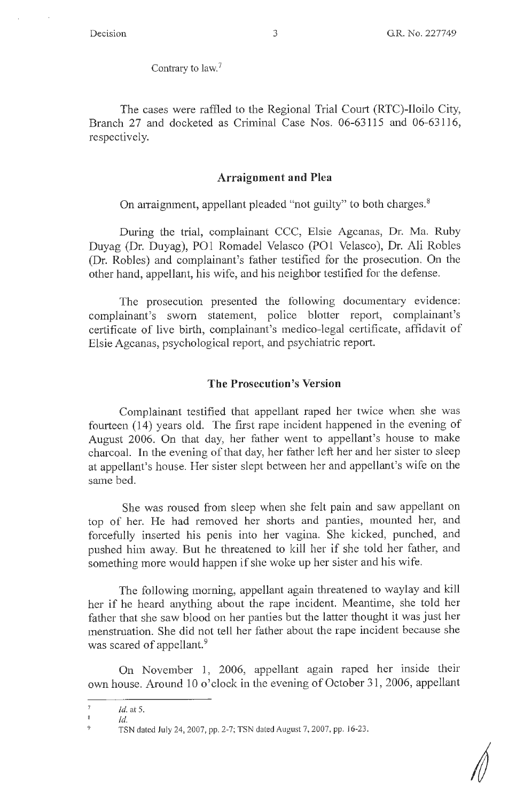Contrary to law.<sup>7</sup>

The cases were raffled to the Regional Trial Court (RTC)-Iloilo City, Branch 27 and docketed as Criminal Case Nos. 06-63115 and 06-63116, respectively.

## **Arraignment and Plea**

On arraignment, appellant pleaded "not guilty" to both charges.<sup>8</sup>

During the trial, complainant CCC, Elsie Agcanas, Dr. Ma. Ruby Duyag (Dr. Duyag), PO1 Romadel Velasco (PO1 Velasco), Dr. Ali Robles (Dr. Robles) and complainant's father testified for the prosecution. On the other hand, appellant, his wife, and his neighbor testified for the defense.

The prosecution presented the following documentary evidence: complainant's sworn statement, police blotter report, complainant's certificate of live birth, complainant's medico-legal certificate, affidavit of Elsie Agcanas, psychological report, and psychiatric report.

#### **The Prosecution's Version**

Complainant testified that appellant raped her twice when she was fourteen (14) years old. The first rape incident happened in the evening of August 2006. On that day, her father went to appellant's house to make charcoal. In the evening of that day, her father left her and her sister to sleep at appellant's house. Her sister slept between her and appellant's wife on the same bed.

She was roused from sleep when she felt pain and saw appellant on top of her. He had removed her shorts and panties, mounted her, and forcefully inserted his penis into her vagina. She kicked, punched, and pushed him away. But he threatened to kill her if she told her father, and something more would happen if she woke up her sister and his wife.

The following morning, appellant again threatened to waylay and kill her if he heard anything about the rape incident. Meantime, she told her father that she saw blood on her panties but the latter thought it was just her menstruation. She did not tell her father about the rape incident because she was scared of appellant.<sup>9</sup>

On November 1, 2006, appellant again raped her inside their own house. Around 10 o'clock in the evening of October 31, 2006, appellant

 $\bar{7}$ *Id.* at 5.

 $\overline{8}$ *Id.*   $\overline{Q}$ 

TSN dated July 24, 2007, pp. 2-7; TSN dated August 7, 2007, pp. 16-23.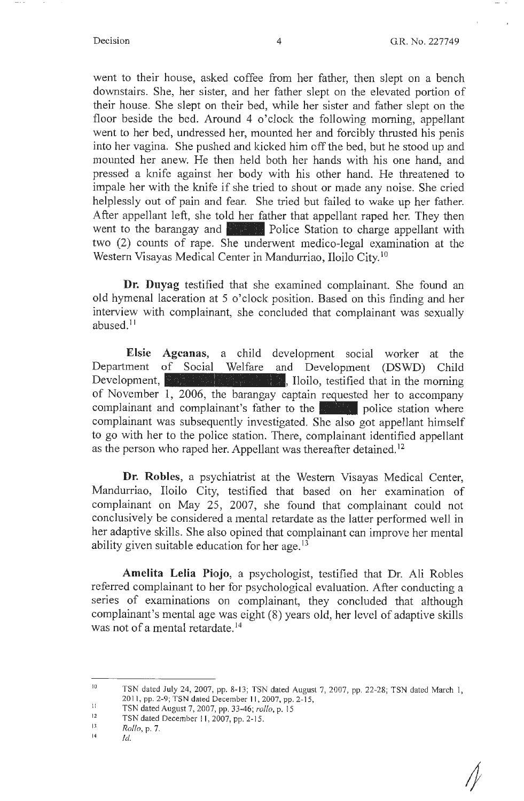went to their house, asked coffee from her father, then slept on a bench downstairs. She, her sister, and her father slept on the elevated portion of their house. She slept on their bed, while her sister and father slept on the floor beside the bed. Around 4 o'clock the following morning, appellant went to her bed, undressed her, mounted her and forcibly thrusted his penis into her vagina. She pushed and kicked him off the bed, but he stood up and mounted her anew. He then held both her hands with his one hand, and pressed a knife against her body with his other hand. He threatened to impale her with the knife if she tried to shout or made any noise. She cried helplessly out of pain and fear. She tried but failed to wake up her father. After appellant left, she told her father that appellant raped her. They then went to the barangay and **Police Station** to charge appellant with two (2) counts of rape. She underwent medico-legal examination at the Western Visayas Medical Center in Mandurriao, Iloilo City. <sup>10</sup>

**Dr. Duyag** testified that she examined complainant. She found an old hymenal laceration at 5 o'clock position. Based on this finding and her interview with complainant, she concluded that complainant was sexually abused.<sup>11</sup>

**Elsie Agcanas,** a child development social worker at the Department of Social Welfare and Development (DSWD) Child Development,  $\mathbb{R}$  is  $\mathbb{R}$  in  $\mathbb{R}$ . Iloilo, testified that in the morning of November  $\overline{1, 2006}$ , the barangay captain requested her to accompany complainant and complainant's father to the **Figure 1** police station where complainant was subsequently investigated. She also got appellant himself to go with her to the police station. There, complainant identified appellant as the person who raped her. Appellant was thereafter detained. <sup>12</sup>

**Dr. Robles,** a psychiatrist at the Western Visayas Medical Center, Mandurriao, Iloilo City, testified that based on her examination of complainant on May 25, 2007, she found that complainant could not conclusively be considered a mental retardate as the latter performed well in her adaptive skills. She also opined that complainant can improve her mental ability given suitable education for her age.  $13$ 

**Amelita Lelia Piojo,** a psychologist, testified that Dr. Ali Robles referred complainant to her for psychological evaluation. After conducting a series of examinations on complainant, they concluded that although complainant's mental age was eight (8) years old, her level of adaptive skills was not of a mental retardate. <sup>14</sup>

*1* 

<sup>10</sup>  TSN dated July 24, 2007, pp. 8-13; TSN dated August 7, 2007, pp. 22-28; TSN dated March I, 2011, pp. 2-9; TSN dated December 11, 2007, pp. 2-15,

II TSN dated August 7, 2007, pp. 33-46; *rollo,* p. 15

<sup>12</sup>  TSN dated December 11, 2007, pp. 2-15.

 $13$ *Rollo,* p. 7.

<sup>14</sup>  *Id.*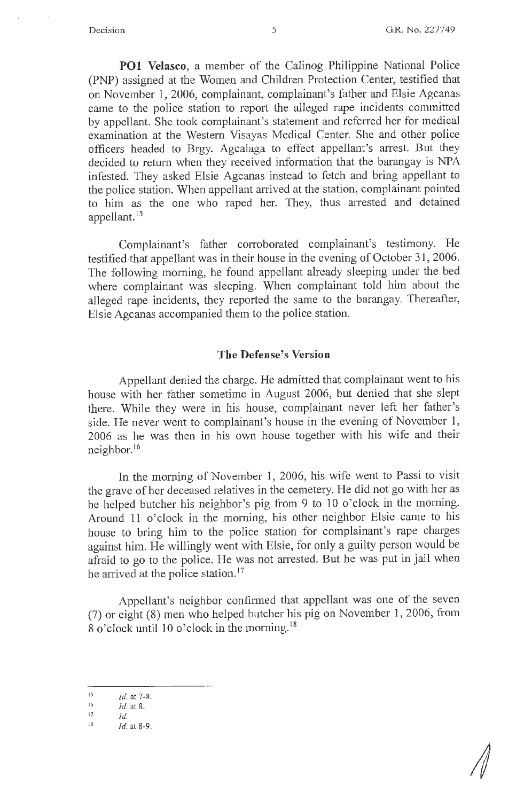**POI Velasco,** a member of the Calinog Philippine National Police (PNP) assigned at the Women and Children Protection Center, testified that on November **1,** 2006, complainant, complainant's father and Elsie Agcanas came to the police station to report the alleged rape incidents committed by appellant. She took complainant's statement and referred her for medical examination at the Western Visayas Medical Center. She and other police officers headed to Brgy. Agcalaga to effect appellant's arrest. But they decided to return when they received information that the barangay is NPA infested. They asked Elsie Agcanas instead to fetch and bring appellant to the police station. When appellant arrived at the station, complainant pointed to him as the one who raped her. They, thus arrested and detained appellant. <sup>15</sup>

Complainant's father corroborated complainant's testimony. He testified that appellant was in their house in the evening of October 31, 2006. The following morning, he found appellant already sleeping under the bed where complainant was sleeping. When complainant told him about the alleged rape incidents, they reported the same to the barangay. Thereafter, Elsie Agcanas accompanied them to the police station.

#### **The Defense's Version**

Appellant denied the charge. He admitted that complainant went to his house with her father sometime in August 2006, but denied that she slept there. While they were in his house, complainant never left her father's side. He never went to complainant's house in the evening of November **1,**  2006 as he was then in his own house together with his wife and their neighbor.<sup>16</sup>

In the morning of November 1, 2006, his wife went to Passi to visit the grave of her deceased relatives in the cemetery. He did not go with her as he helped butcher his neighbor's pig from 9 to 10 o'clock in the morning. Around 11 o'clock in the morning, his other neighbor Elsie came to his house to bring him to the police station for complainant's rape charges against him. He willingly went with Elsie, for only a guilty person would be afraid to go to the police. He was not arrested. But he was put in jail when he arrived at the police station.<sup>17</sup>

Appellant's neighbor confinned that appellant was one of the seven (7) or eight (8) men who helped butcher his pig on November 1, 2006, from 8 o'clock until 10 o'clock in the morning. <sup>18</sup>

<sup>15</sup> *Id.* at 7-8.

 $\frac{16}{17}$  *Id.* at 8.

<sup>17</sup> *Id.* 

 $18$  *Id.* at 8-9.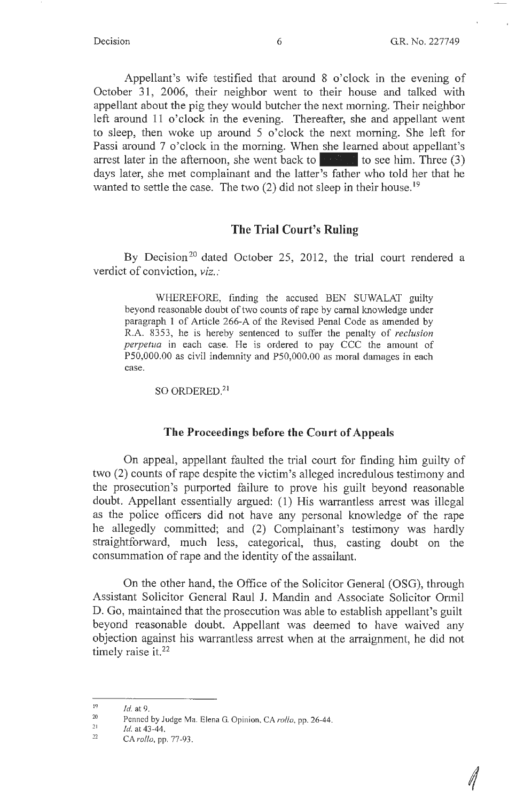Appellant's wife testified that around 8 o'clock in the evening of October 31, 2006, their neighbor went to their house and talked with appellant about the pig they would butcher the next morning. Their neighbor left around 11 o'clock in the evening. Thereafter, she and appellant went to sleep, then woke up around 5 o'clock the next morning. She left for Passi around 7 o'clock in the morning. When she learned about appellant's arrest later in the afternoon, she went back to  $\sim$  to see him. Three (3) days later, she met complainant and the latter's father who told her that he wanted to settle the case. The two  $(2)$  did not sleep in their house.<sup>19</sup>

# **The Trial Court's Ruling**

By Decision<sup>20</sup> dated October 25, 2012, the trial court rendered a verdict of conviction, *viz.:* 

WHEREFORE, finding the accused BEN SUWALAT guilty beyond reasonable doubt of two counts of rape by carnal knowledge under paragraph 1 of Article 266-A of the Revised Penal Code as amended by R.A. 8353, he is hereby sentenced to suffer the penalty of *reclusion perpetua* in each case. He is ordered to pay CCC the amount of PS0,000.00 as civil indemnity and PS0,000.00 as moral damages in each case.

#### SO ORDERED.2<sup>1</sup>

#### **The Proceedings before the Court of Appeals**

On appeal, appellant faulted the trial court for finding him guilty of two (2) counts of rape despite the victim's alleged incredulous testimony and the prosecution's purported failure to prove his guilt beyond reasonable doubt. Appellant essentially argued: (1) His warrantless arrest was illegal as the police officers did not have any personal knowledge of the rape he allegedly committed; and (2) Complainant's testimony was hardly straightforward, much less, categorical, thus, casting doubt on the consummation of rape and the identity of the assailant.

On the other hand, the Office of the Solicitor General (OSG), through Assistant Solicitor General Raul J. Mandin and Associate Solicitor Ormil D. Go, maintained that the prosecution was able to establish appellant's guilt beyond reasonable doubt. Appellant was deemed to have waived any objection against his warrantless arrest when at the arraignment, he did not timely raise it.<sup>22</sup>

<sup>19</sup>  *Id.* at 9.

<sup>20</sup>  Penned by Judge Ma. Elena G. Opinion, CA *rol/o,* pp. 26-44.

<sup>21</sup>  Id. at 43 -44.

<sup>22</sup>  CA *rollo,* pp. 77-93.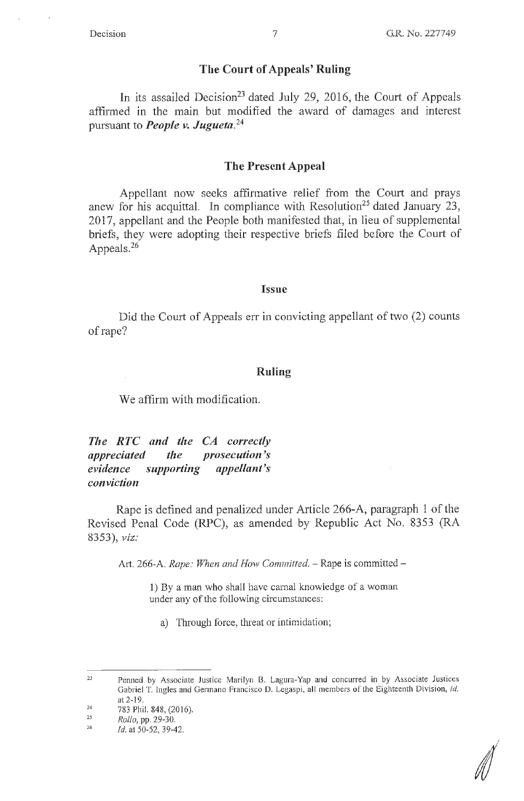### **The Court of Appeals' Ruling**

In its assailed Decision<sup>23</sup> dated July 29, 2016, the Court of Appeals affirmed in the main but modified the award of damages and interest pursuant to *People v. Jugueta.* **<sup>24</sup>**

#### **The Present Appeal**

Appellant now seeks affirmative relief from the Court and prays anew for his acquittal. In compliance with Resolution<sup>25</sup> dated January 23, 2017, appellant and the People both manifested that, in lieu of supplemental briefs, they were adopting their respective briefs filed before the Court of Appeals. $26$ 

#### **Issue**

Did the Court of Appeals err in convicting appellant of two (2) counts of rape?

#### **Ruling**

We affirm with modification.

*The RTC and the CA correctly appreciated the prosecution's evidence supporting appellant's conviction* 

Rape is defined and penalized under Article 266-A, paragraph 1 of the Revised Penal Code (RPC), as amended by Republic Act No. 8353 (RA 8353), *viz:* 

Art. 266-A. *Rape: When and How Committed.* - Rape is committed -

1) By a man who shall have carnal knowledge of a woman under any of the following circumstances:

a) Through force, threat or intimidation;

||)<br>|

<sup>23</sup>  Penned by Associate Justice Marilyn B. Lagura-Yap and concurred in by Associate Justices Gabriel T. Ingles and Germano Francisco D. Legaspi, all members of the Eighteenth Division, *id.*  at 2-19.

<sup>24</sup>  783 Phil. 848, (2016).

<sup>25</sup>  *Rollo,* pp. 29-30.

<sup>26</sup>  *Id.* at 50-52, 39-42.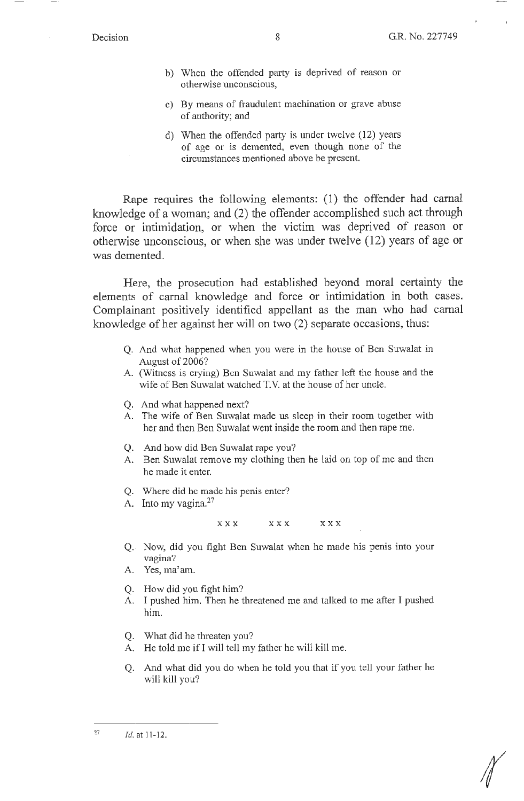- b) When the offended party is deprived of reason or otherwise unconscious,
- c) By means of fraudulent machination or grave abuse of authority; and
- d) When the offended party is under twelve (12) years of age or is demented, even though none of the circumstances mentioned above be present.

Rape requires the following elements: (1) the offender had carnal knowledge of a woman; and (2) the offender accomplished such act through force or intimidation, or when the victim was deprived of reason or otherwise unconscious, or when she was under twelve (12) years of age or was demented.

Here, the prosecution had established beyond moral certainty the elements of carnal knowledge and force or intimidation in both cases. Complainant positively identified appellant as the man who had carnal knowledge of her against her will on two (2) separate occasions, thus:

- Q. And what happened when you were in the house of Ben Suwalat in August of 2006?
- A. (Witness is crying) Ben Suwalat and my father left the house and the wife of Ben Suwalat watched T.V. at the house of her uncle.
- Q. And what happened next?
- A. The wife of Ben Suwalat made us sleep in their room together with her and then Ben Suwalat went inside the room and then rape me.
- Q. And how did Ben Suwalat rape you?
- A. Ben Suwalat remove my clothing then he laid on top of me and then he made it enter.
- Q. Where did he made his penis enter?
- A. Into my vagina.<sup>27</sup>

**XXX XXX XXX** 

- Q. Now, did you fight Ben Suwalat when he made his penis into your vagina?
- A. Yes, ma'am.
- Q. How did you fight him?
- A. I pushed him. Then he threatened me and talked to me after I pushed him.
- Q. What did he threaten you?
- A. He told me if I will tell my father he will kill me.
- Q. And what did you do when he told you that if you tell your father he will kill you?

*(* 

<sup>27</sup>  Id. at 11-12.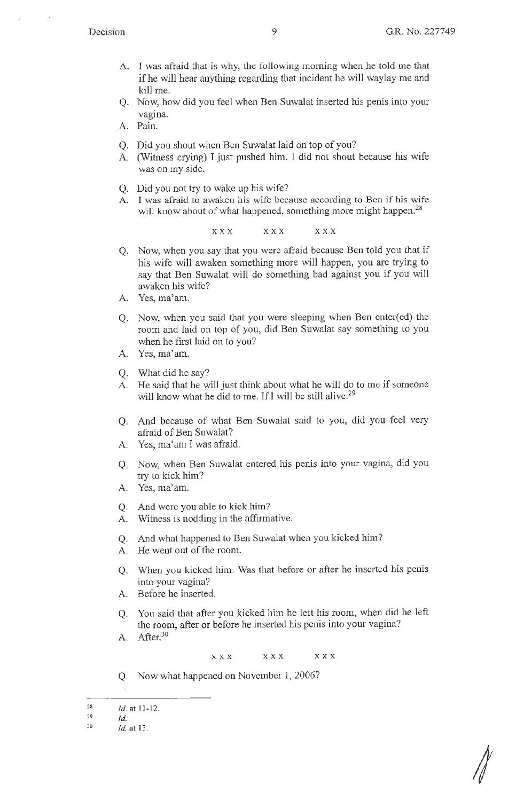- A. I was afraid that is why, the following morning when he told me that if he will hear anything regarding that incident he will waylay me and kill me.
- Q. Now, how did you feel when Ben Suwalat inserted his penis into your vagina.
- A. Pain.
- Q. Did you shout when Ben Suwalat laid on top of you?
- A. (Witness crying) I just pushed him. I did not shout because his wife was on my side.
- Q. Did you not try to wake up his wife?
- A. I was afraid to awaken his wife because according to Ben if his wife will know about of what happened, something more might happen.<sup>28</sup>

XXX XXX XXX

- Q. Now, when you say that you were afraid because Ben told you that if his wife will awaken something more will happen, you are trying to say that Ben Suwalat will do something bad against you if you will awaken his wife?
- A. Yes, ma'am.
- Q. Now, when you said that you were sleeping when Ben enter(ed) the room and laid on top of you, did Ben Suwalat say something to you when he first laid on to you?
- A. Yes, ma'am.
- Q. What did he say?
- A. He said that he will just think about what he will do to me if someone will know what he did to me. If I will be still alive.<sup>29</sup>
- Q. And because of what Ben Suwalat said to you, did you feel very afraid of Ben Suwalat?
- A. Yes, ma'am I was afraid.
- Q. Now, when Ben Suwalat entered his penis into your vagina, did you try to kick him?
- A. Yes, ma'am.
- Q. And were you able to kick him?
- A. Witness is nodding in the affirmative.
- Q. And what happened to Ben Suwalat when you kicked him?
- A. He went out of the room.
- Q. When you kicked him. Was that before or after he inserted his penis into your vagina?
- A. Before he inserted.
- Q. You said that after you kicked him he left his room, when did he left the room, after or before he inserted his penis into your vagina?
- A. After.<sup>30</sup>

**XXX XXX XXX** 

Q. Now what happened on November 1, 2006?

30 *Id.* at 13.

//

<sup>28</sup>  *Id.* at 11-12.

<sup>29</sup>  *Id.*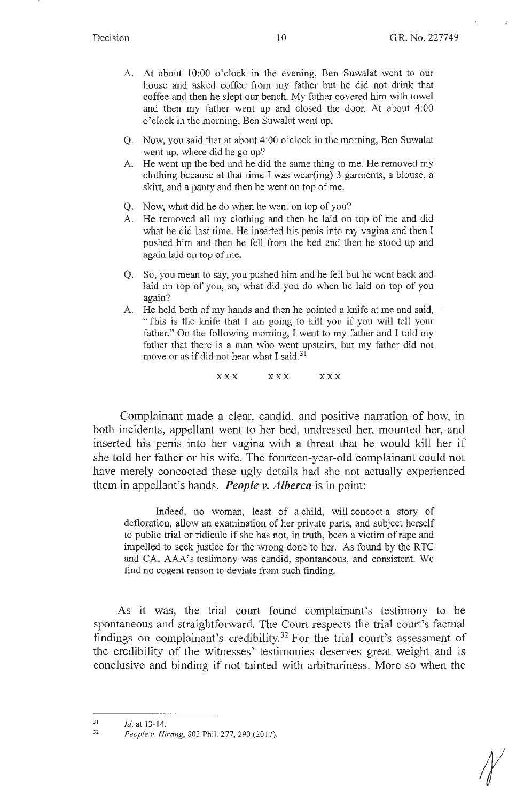- A. At about 10:00 o'clock in the evening, Ben Suwalat went to our house and asked coffee from my father but he did not drink that coffee and then he slept our bench. My father covered him with towel and then my father went up and closed the door. At about 4:00 o'clock in the morning, Ben Suwalat went up.
- Q. Now, you said that at about 4:00 o'clock in the morning, Ben Suwalat went up, where did he go up?
- A. He went up the bed and he did the same thing to me. He removed my clothing because at that time I was wear(ing) 3 garments, a blouse, a skirt, and a panty and then he went on top of me.
- Q. Now, what did he do when he went on top of you?
- A. He removed all my clothing and then he laid on top of me and did what he did last time. He inserted his penis into my vagina and then I pushed him and then he fell from the bed and then he stood up and again laid on top of me.
- Q. So, you mean to say, you pushed him and he fell but he went back and laid on top of you, so, what did you do when he laid on top of you again?
- A. He held both of my hands and then he pointed a knife at me and said, "This is the knife that I am going to kill you if you will tell your father." On the following morning, I went to my father and I told my father that there is a man who went upstairs, but my father did not move or as if did not hear what I said. $31$

**X X X X X X X X X** 

Complainant made a clear, candid, and positive narration of how, in both incidents, appellant went to her bed, undressed her, mounted her, and inserted his penis into her vagina with a threat that he would kill her if she told her father or his wife. The fourteen-year-old complainant could not have merely concocted these ugly details had she not actually experienced them in appellant's hands. *People v. Alberca* is in point:

Indeed, no woman, least of a child, will concoct a story of defloration, allow an examination of her private parts, and subject herself to public trial or ridicule if she has not, in truth, been a victim of rape and impelled to seek justice for the wrong done to her. As found by the RTC and CA, AAA's testimony was candid, spontaneous, and consistent. We find no cogent reason to deviate from such finding.

As it was, the trial court found complainant's testimony to be spontaneous and straightforward. The Court respects the trial court's factual findings on complainant's credibility.<sup>32</sup> For the trial court's assessment of the credibility of the witnesses' testimonies deserves great weight and is conclusive and binding if not tainted with arbitrariness. More so when the

<sup>31</sup>  Id. at 13- 14.

<sup>31</sup>  *People v. Hirang,* 803 Phil. 277, 290(2017).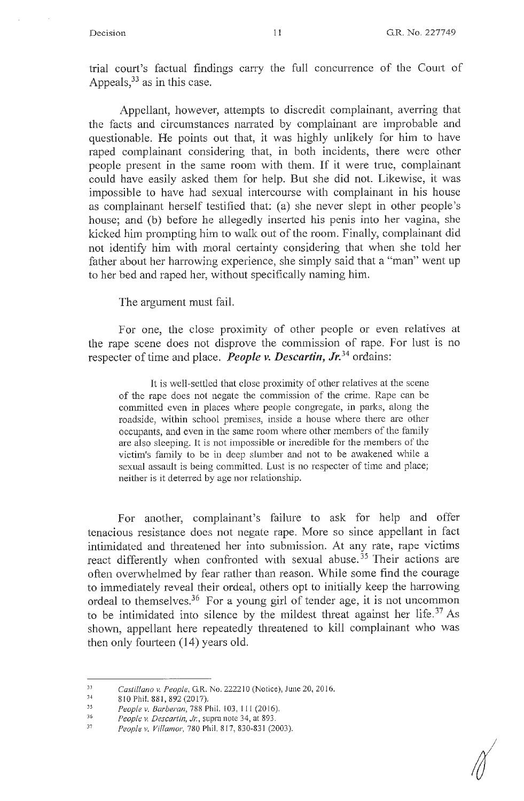trial court's factual findings carry the full concurrence of the Court of Appeals,  $33$  as in this case.

Appellant, however, attempts to discredit complainant, averring that the facts and circumstances narrated by complainant are improbable and questionable. He points out that, it was highly unlikely for him to have raped complainant considering that, in both incidents, there were other people present in the same room with them. If it were true, complainant could have easily asked them for help. But she did not. Likewise, it was impossible to have had sexual intercourse with complainant in his house as complainant herself testified that: (a) she never slept in other people's house; and (b) before he allegedly inserted his penis into her vagina, she kicked him prompting him to walk out of the room. Finally, complainant did not identify him with moral certainty considering that when she told her father about her harrowing experience, she simply said that a "man" went up to her bed and raped her, without specifically naming him.

The argument must fail.

For one, the close proximity of other people or even relatives at the rape scene does not disprove the commission of rape. For lust is no respecter of time and place. *People v. Descartin, Jr.*<sup>34</sup> ordains:

It is well-settled that close proximity of other relatives at the scene of the rape does not negate the conunission of the crime. Rape can be committed even in places where people congregate, in parks, along the roadside, within school premises, inside a house where there are other occupants, and even in the same room where other members of the family are also sleeping. It is not impossible or incredible for the members of the victim's family to be in deep slumber and not to be awakened while a sexual assault is being committed. Lust is no respecter of time and place; neither is it deterred by age nor relationship.

For another, complainant's failure to ask for help and offer tenacious resistance does not negate rape. More so since appellant in fact intimidated and threatened her into submission. At any rate, rape victims react differently when confronted with sexual abuse.<sup>35</sup> Their actions are often overwhelmed by fear rather than reason. While some find the courage to immediately reveal their ordeal, others opt to initially keep the harrowing ordeal to themselves. 36 For a young girl of tender age, it is not uncommon to be intimidated into silence by the mildest threat against her life.<sup>37</sup> As shown, appellant here repeatedly threatened to kill complainant who was then only fourteen (14) years old.

<sup>33</sup>  *Castillano v. People,* G.R. No. 2222 IO (Notice), June 20, 20 I 6.

<sup>34</sup>  8 10 Phil. 881,892 (2017).

<sup>35</sup>  People v. Barberan, 788 Phil. 103, 111 (2016).

<sup>36</sup>  People v. Descartin, Jr., supra note 34, at 893.

<sup>37</sup>  *People v. Villamor,* 780 Phil. 8 17, 830-831 (2003).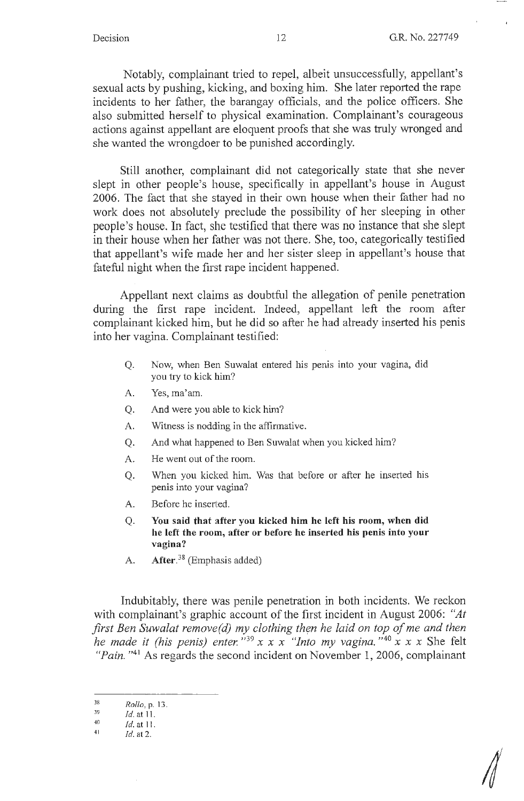*4* 

Notably, complainant tried to repel, albeit unsuccessfully, appellant's sexual acts by pushing, kicking, and boxing him. She later reported the rape incidents to her father, the barangay officials, and the police officers. She also submitted herself to physical examination. Complainant's courageous actions against appellant are eloquent proofs that she was truly wronged and she wanted the wrongdoer to be punished accordingly.

Still another, complainant did not categorically state that she never slept in other people's house, specifically in appellant's house in August 2006. The fact that she stayed in their own house when their father had no work does not absolutely preclude the possibility of her sleeping in other people's house. In fact, she testified that there was no instance that she slept **in** their house when her father was not there. She, too, categorically testified that appellant's wife made her and her sister sleep in appellant's house that fateful night when the first rape incident happened.

Appellant next claims as doubtful the allegation of penile penetration during the first rape incident. Indeed, appellant left the room after complainant kicked him, but he did so after he had already inserted his penis into her vagina. Complainant testified:

- Q. Now, when Ben Suwalat entered his penis into your vagina, did you try to kick him?
- A. Yes, ma'am.
- Q. And were you able to kick him?
- A. Witness is nodding in the affirmative.
- Q. And what happened to Ben Suwalat when you kicked him?
- A. He went out of the room.
- Q. When you kicked him. Was that before or after he inserted his penis into your vagina?
- A. Before he inserted.
- Q. **You said that after you kicked him he left his room, when did he left the room, after or before he inserted his penis into your vagina?**
- A. **After. <sup>38</sup>**(Emphasis added)

Indubitably, there was penile penetration in both incidents. We reckon with complainant's graphic account of the first incident in August 2006: *"At first Ben Suwalat remove(d) my clothing then he laid on top of me and then he made it (his penis) enter.*<sup>139</sup> x x x "Into my vagina.<sup>140</sup> x x x She felt *"Pain.* "<sup>41</sup> As regards the second incident on November 1, 2006, complainant

<sup>38</sup> Ro//o,p.13. 39 *Id.* at 11.

<sup>40</sup>*Id.* at 11. 41 *Id.* at 2.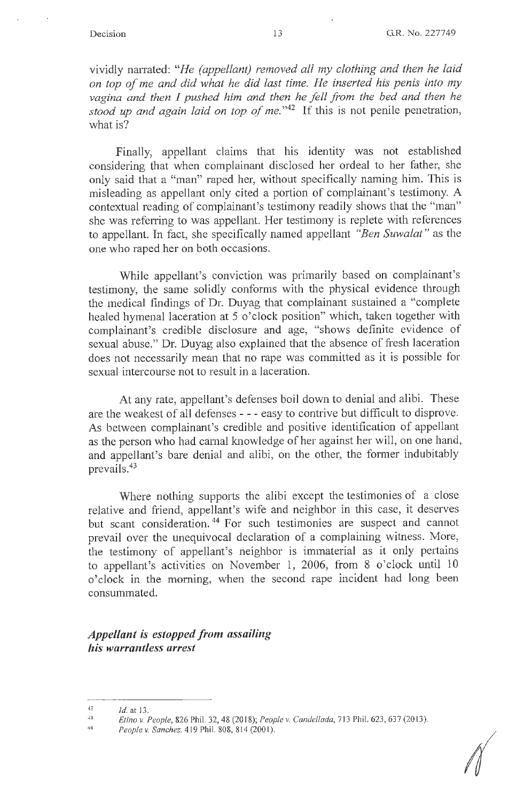vividly narrated: *"He (appellant) removed all my clothing and then he laid on top of me and did what he did last time. He inserted his penis into my vagina and then I pushed him and then he fell from the bed and then he stood up and again laid on top of me.* "42 If this is not penile penetration, what is?

Finally, appellant claims that his identity was not established considering that when complainant disclosed her ordeal to her father, she only said that a "man" raped her, without specifically naming him. This is misleading as appellant only cited a portion of complainant's testimony. A contextual reading of complainant's testimony readily shows that the "man" she was referring to was appellant. Her testimony is replete with references to appellant. In fact, she specifically named appellant *"Ben Suwalat"* as the one who raped her on both occasions.

While appellant's conviction was primarily based on complainant's testimony, the same solidly conforms with the physical evidence through the medical findings of Dr. Duyag that complainant sustained a "complete healed hymenal laceration at 5 o'clock position" which, taken together with complainant's credible disclosure and age, "shows definite evidence of sexual abuse." Dr. Duyag also explained that the absence of fresh laceration does not necessarily mean that no rape was committed as it is possible for sexual intercourse not to result in a laceration.

At any rate, appellant's defenses boil down to denial and alibi. These are the weakest of all defenses - - - easy to contrive but difficult to disprove. As between complainant's credible and positive identification of appellant as the person who had carnal knowledge of her against her will, on one hand, and appellant's bare denial and alibi, on the other, the former indubitably prevails.43

Where nothing supports the alibi except the testimonies of a close relative and friend, appellant's wife and neighbor in this case, it deserves but scant consideration.<sup>44</sup> For such testimonies are suspect and cannot prevail over the unequivocal declaration of a complaining witness. More, the testimony of appellant's neighbor is immaterial as it only pertains to appellant's activities on November 1, 2006, from 8 o'clock until 10 o'clock in the morning, when the second rape incident had long been consummated.

*Appellant is estopped from assailing his warrantless arrest* 

 $\sqrt{2}$ 

<sup>42</sup>  *Id.* at 13.

<sup>43</sup>  *Etino v. People,* 826 Phil. 32, 48(2018); *People v. Candellada,* 713 Phil. 623, 637(20 13).

<sup>44</sup>  *People v. Sanchez, 419 Phil. 808, 814 (2001).*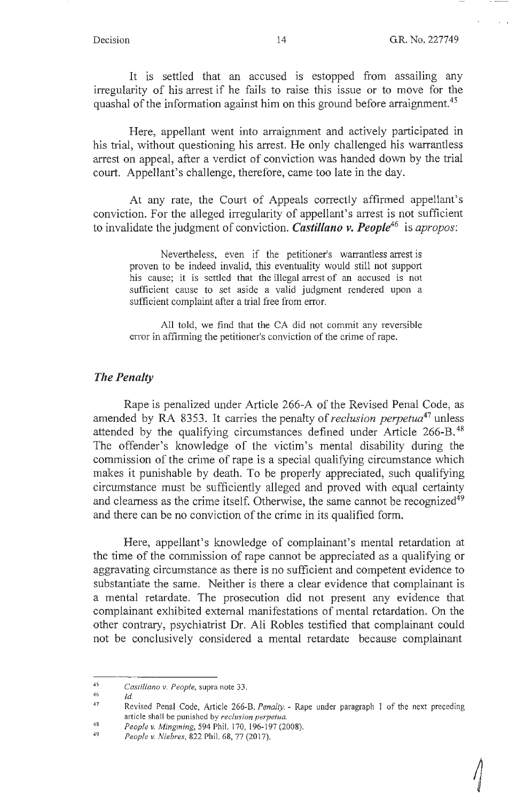$\sqrt{2}$ 

It is settled that an accused is estopped from assailing any irregularity of his arrest if he fails to raise this issue or to move for the quashal of the information against him on this ground before arraignment.<sup>45</sup>

Here, appellant went into arraignment and actively participated in his trial, without questioning his arrest. He only challenged his warrantless arrest on appeal, after a verdict of conviction was handed down by the trial court. Appellant's challenge, therefore, came too late in the day.

At any rate, the Court of Appeals correctly affirmed appellant's conviction. For the alleged irregularity of appellant's arrest is not sufficient to invalidate the judgment of conviction. *Castillano v. People***<sup>46</sup>**is *apropos:* 

Nevertheless, even if the petitioner's warrantless arrest is proven to be indeed invalid, this eventuality would still not support his cause; it is settled that the illegal arrest of an accused is not sufficient cause to set aside a valid judgment rendered upon a sufficient complaint after a trial free from error.

All told, we find that the CA did not commit any reversible error in affirming the petitioner's conviction of the crime of rape.

#### *The Penalty*

Rape is penalized under Article 266-A of the Revised Penal Code, as amended by RA 8353. It carries the penalty of *reclusion perpetua*<sup>47</sup> unless attended by the qualifying circumstances defined under Article 266-B. 48 The offender's knowledge of the victim's mental disability during the commission of the crime of rape is a special qualifying circumstance which makes it punishable by death. To be properly appreciated, such qualifying circumstance must be sufficiently alleged and proved with equal certainty and clearness as the crime itself. Otherwise, the same cannot be recognized<sup>49</sup> and there can be no conviction of the crime in its qualified form.

Here, appellant's knowledge of complainant's mental retardation at the time of the commission of rape cannot be appreciated as a qualifying or aggravating circumstance as there is no sufficient and competent evidence to substantiate the same. Neither is there a clear evidence that complainant is a mental retardate. The prosecution did not present any evidence that complainant exhibited external manifestations of mental retardation. On the other contrary, psychiatrist Dr. Ali Robles testified that complainant could not be conclusively considered a mental retardate because complainant

*Id.* 

<sup>45</sup>  *Castillano v. People,* supra note 33.

<sup>46</sup> 

<sup>47</sup>  Revised Penal Code, Article 266-8. *Penalty .* - Rape under paragraph 1 of the next preceding article shall be punished by *reclusion perpetua*.

<sup>48</sup>  *People v. Mingming,* 594 Phil. 170, 196- 197 (2008).

<sup>49</sup>  *People v. Niebres,* 822 Phil. 68, 77 (2017).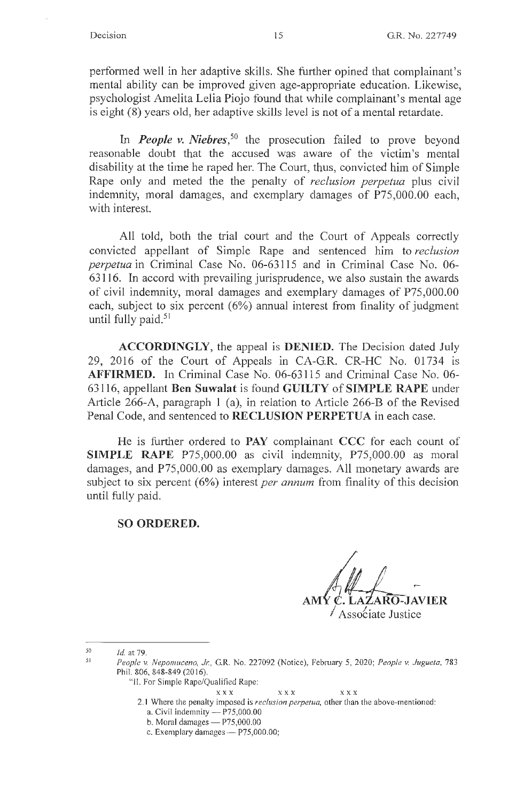performed well in her adaptive skills. She further opined that complainant's mental ability can be improved given age-appropriate education. Likewise, psychologist Amelita Lelia Piojo found that while complainant's mental age is eight (8) years old, her adaptive skills level is not of a mental retardate.

In *People v. Niebres*,<sup>50</sup> the prosecution failed to prove beyond reasonable doubt that the accused was aware of the victim's mental disability at the time he raped her. The Court, thus, convicted him of Simple Rape only and meted the the penalty of *reclusion perpetua* plus civil indemnity, moral damages, and exemplary damages of P75,000.00 each, with interest.

All told, both the trial court and the Court of Appeals correctly convicted appellant of Simple Rape and sentenced him to *reclusion perpetua* in Criminal Case No. 06-63115 and in Criminal Case No. 06- 63116. In accord with prevailing jurisprudence, we also sustain the awards of civil indemnity, moral damages and exemplary damages of P75,000.00 each, subject to six percent (6%) annual interest from finality of judgment until fully paid. $51$ 

**ACCORDINGLY,** the appeal is **DENIED.** The Decision dated July 29, 2016 of the Court of Appeals in CA-G.R. CR-HC No. 01734 is **AFFIRMED.** In Criminal Case No. 06-63115 and Criminal Case No. 06- 63116, appellant **Ben Suwalat** is found **GUILTY** of **SIMPLE RAPE** under Article 266-A, paragraph 1 (a), in relation to Article 266-B of the Revised Penal Code, and sentenced to **RECLUSION PERPETUA** in each case.

He is further ordered to **PAY** complainant **CCC** for each count of **SIMPLE RAPE** P75,000.00 as civil indemnity, P75,000.00 as moral damages, and P75,000.00 as exemplary damages. All monetary awards are subject to six percent (6%) interest *per annum* from finality of this decision until fully paid.

#### **SO ORDERED.**

**AMY C. LAZARO-JAVIER** *I* Assotiate Justice

- 2. 1 Where the penalty imposed is *reclusion perpetua,* other than the above-mentioned: a. Civil indemnity  $- P75,000.00$ 
	- b. Moral damages  $-$  P75,000.00
	- c. Exemplary damages  $P75,000.00;$

*<sup>50</sup>*  51 Id at 79.

*People v. Nepomuceno, J,:,* G.R. No. 227092 (Notice), February 5, 2020; *People v. Juguela,* 783 Phil. 806, 848-849(2016).

<sup>&</sup>quot;II. For Simple Rape/Qualified Rape:

XXX X XX XXX